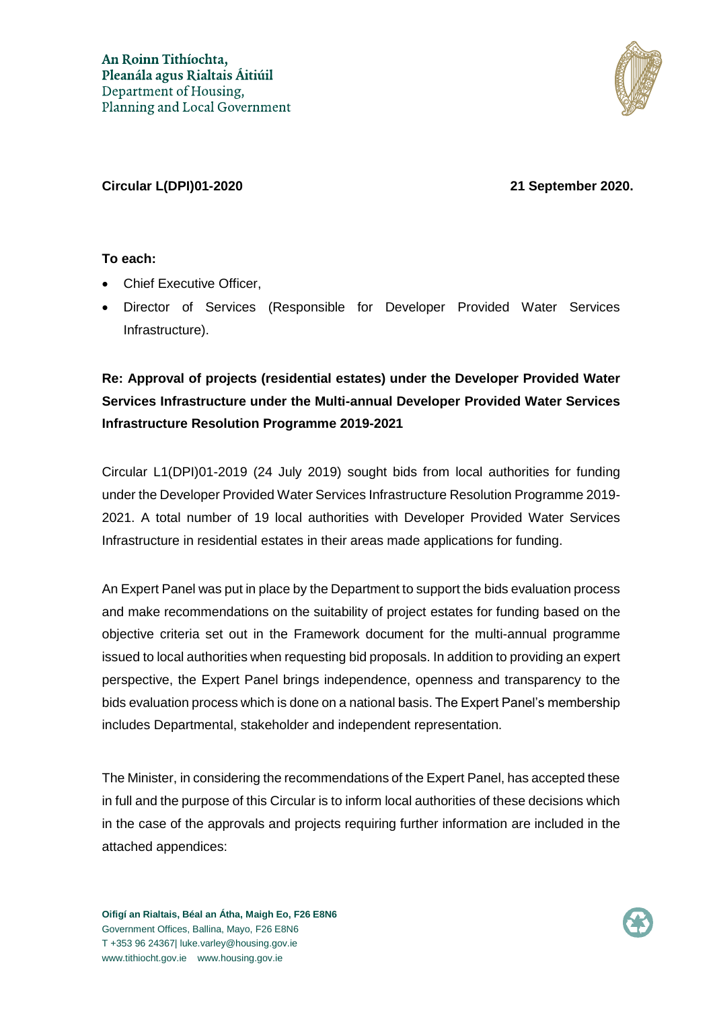

#### **Circular L(DPI)01-2020 21 September 2020.**

### **To each:**

- Chief Executive Officer,
- Director of Services (Responsible for Developer Provided Water Services Infrastructure).

# **Re: Approval of projects (residential estates) under the Developer Provided Water Services Infrastructure under the Multi-annual Developer Provided Water Services Infrastructure Resolution Programme 2019-2021**

Circular L1(DPI)01-2019 (24 July 2019) sought bids from local authorities for funding under the Developer Provided Water Services Infrastructure Resolution Programme 2019- 2021. A total number of 19 local authorities with Developer Provided Water Services Infrastructure in residential estates in their areas made applications for funding.

An Expert Panel was put in place by the Department to support the bids evaluation process and make recommendations on the suitability of project estates for funding based on the objective criteria set out in the Framework document for the multi-annual programme issued to local authorities when requesting bid proposals. In addition to providing an expert perspective, the Expert Panel brings independence, openness and transparency to the bids evaluation process which is done on a national basis. The Expert Panel's membership includes Departmental, stakeholder and independent representation.

The Minister, in considering the recommendations of the Expert Panel, has accepted these in full and the purpose of this Circular is to inform local authorities of these decisions which in the case of the approvals and projects requiring further information are included in the attached appendices:

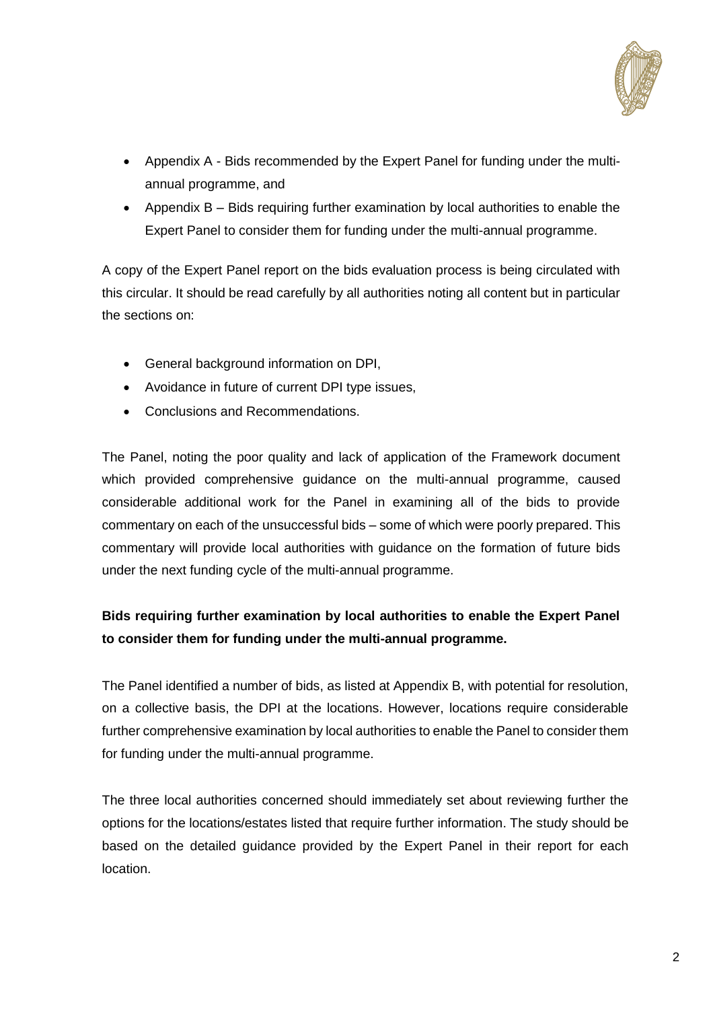

- Appendix A Bids recommended by the Expert Panel for funding under the multiannual programme, and
- Appendix B Bids requiring further examination by local authorities to enable the Expert Panel to consider them for funding under the multi-annual programme.

A copy of the Expert Panel report on the bids evaluation process is being circulated with this circular. It should be read carefully by all authorities noting all content but in particular the sections on:

- General background information on DPI,
- Avoidance in future of current DPI type issues,
- Conclusions and Recommendations.

The Panel, noting the poor quality and lack of application of the Framework document which provided comprehensive guidance on the multi-annual programme, caused considerable additional work for the Panel in examining all of the bids to provide commentary on each of the unsuccessful bids – some of which were poorly prepared. This commentary will provide local authorities with guidance on the formation of future bids under the next funding cycle of the multi-annual programme.

# **Bids requiring further examination by local authorities to enable the Expert Panel to consider them for funding under the multi-annual programme.**

The Panel identified a number of bids, as listed at Appendix B, with potential for resolution, on a collective basis, the DPI at the locations. However, locations require considerable further comprehensive examination by local authorities to enable the Panel to consider them for funding under the multi-annual programme.

The three local authorities concerned should immediately set about reviewing further the options for the locations/estates listed that require further information. The study should be based on the detailed guidance provided by the Expert Panel in their report for each location.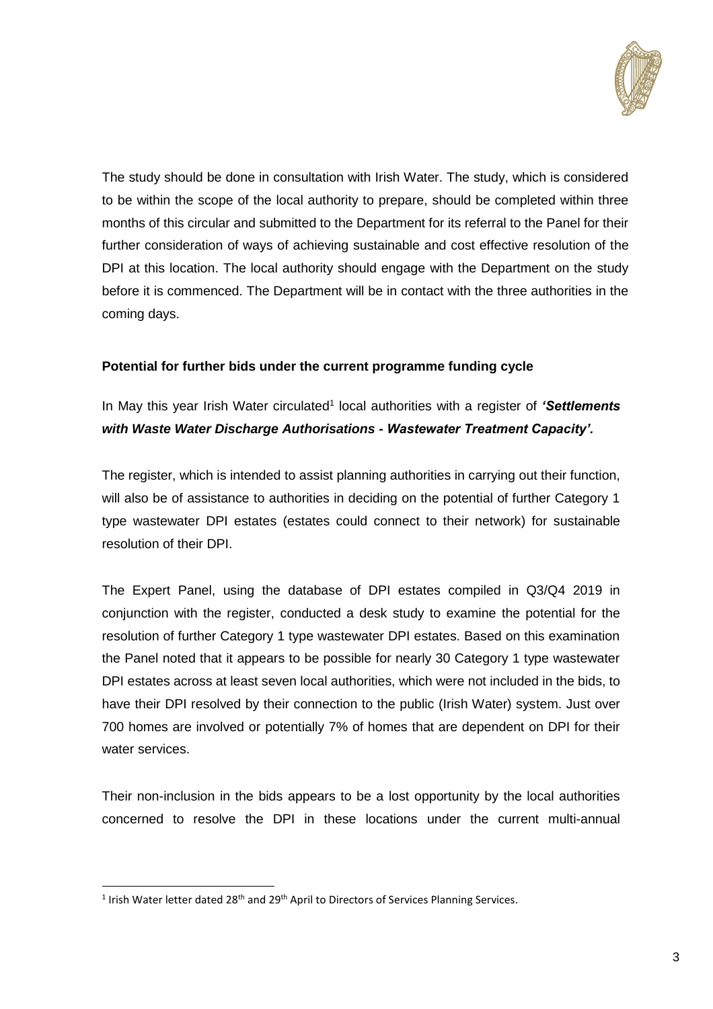

The study should be done in consultation with Irish Water. The study, which is considered to be within the scope of the local authority to prepare, should be completed within three months of this circular and submitted to the Department for its referral to the Panel for their further consideration of ways of achieving sustainable and cost effective resolution of the DPI at this location. The local authority should engage with the Department on the study before it is commenced. The Department will be in contact with the three authorities in the coming days.

### **Potential for further bids under the current programme funding cycle**

In May this year Irish Water circulated<sup>1</sup> local authorities with a register of 'Settlements *with Waste Water Discharge Authorisations - Wastewater Treatment Capacity'.*

The register, which is intended to assist planning authorities in carrying out their function, will also be of assistance to authorities in deciding on the potential of further Category 1 type wastewater DPI estates (estates could connect to their network) for sustainable resolution of their DPI.

The Expert Panel, using the database of DPI estates compiled in Q3/Q4 2019 in conjunction with the register, conducted a desk study to examine the potential for the resolution of further Category 1 type wastewater DPI estates. Based on this examination the Panel noted that it appears to be possible for nearly 30 Category 1 type wastewater DPI estates across at least seven local authorities, which were not included in the bids, to have their DPI resolved by their connection to the public (Irish Water) system. Just over 700 homes are involved or potentially 7% of homes that are dependent on DPI for their water services.

Their non-inclusion in the bids appears to be a lost opportunity by the local authorities concerned to resolve the DPI in these locations under the current multi-annual

-

<sup>&</sup>lt;sup>1</sup> Irish Water letter dated 28<sup>th</sup> and 29<sup>th</sup> April to Directors of Services Planning Services.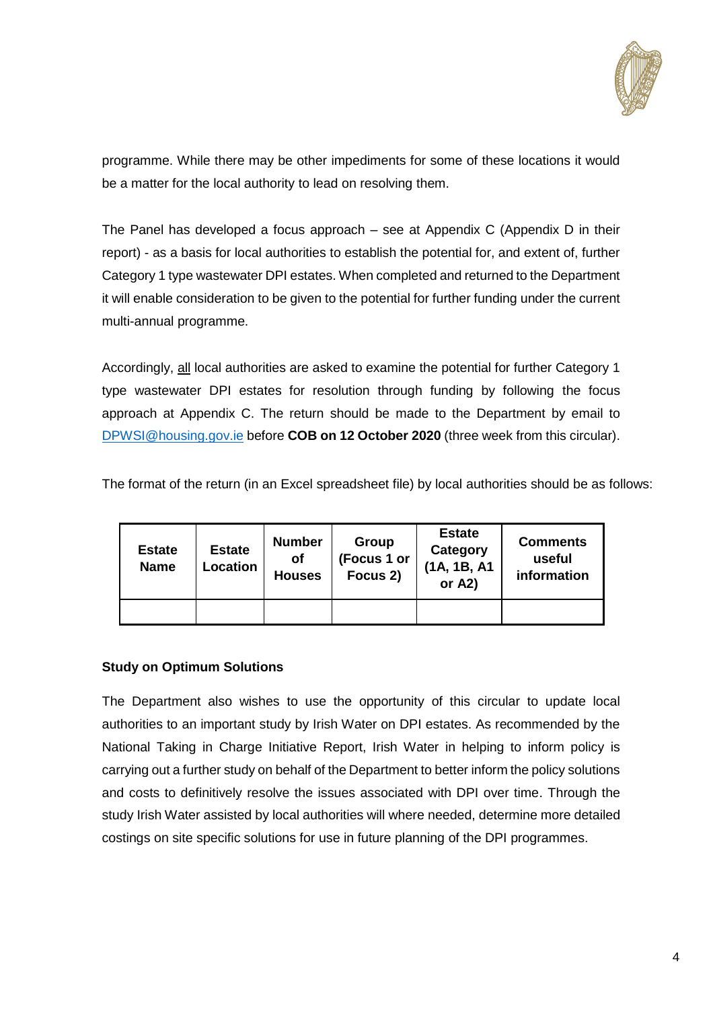

programme. While there may be other impediments for some of these locations it would be a matter for the local authority to lead on resolving them.

The Panel has developed a focus approach – see at Appendix C (Appendix D in their report) - as a basis for local authorities to establish the potential for, and extent of, further Category 1 type wastewater DPI estates. When completed and returned to the Department it will enable consideration to be given to the potential for further funding under the current multi-annual programme.

Accordingly, all local authorities are asked to examine the potential for further Category 1 type wastewater DPI estates for resolution through funding by following the focus approach at Appendix C. The return should be made to the Department by email to [DPWSI@housing.gov.ie](mailto:DPWSI@housing.gov.ie) before **COB on 12 October 2020** (three week from this circular).

The format of the return (in an Excel spreadsheet file) by local authorities should be as follows:

| <b>Estate</b><br><b>Name</b> | <b>Estate</b><br>Location | <b>Number</b><br><b>of</b><br><b>Houses</b> | Group<br>(Focus 1 or<br>Focus 2) | <b>Estate</b><br>Category<br>(1A, 1B, A1<br>or $A2$ ) | <b>Comments</b><br>useful<br>information |
|------------------------------|---------------------------|---------------------------------------------|----------------------------------|-------------------------------------------------------|------------------------------------------|
|                              |                           |                                             |                                  |                                                       |                                          |

## **Study on Optimum Solutions**

The Department also wishes to use the opportunity of this circular to update local authorities to an important study by Irish Water on DPI estates. As recommended by the National Taking in Charge Initiative Report, Irish Water in helping to inform policy is carrying out a further study on behalf of the Department to better inform the policy solutions and costs to definitively resolve the issues associated with DPI over time. Through the study Irish Water assisted by local authorities will where needed, determine more detailed costings on site specific solutions for use in future planning of the DPI programmes.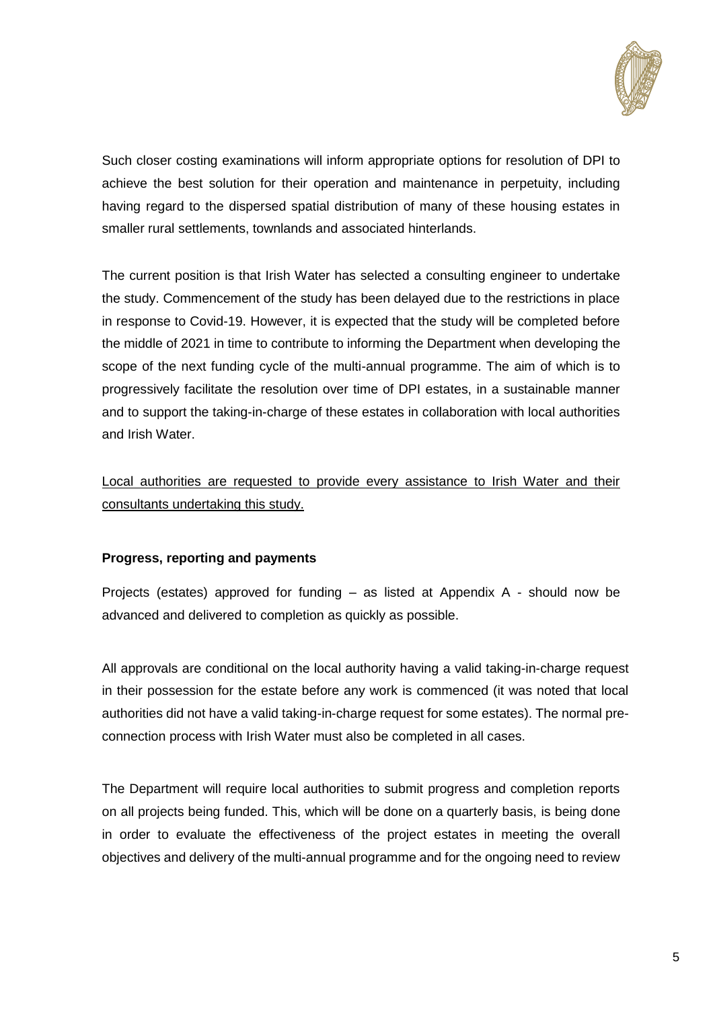

Such closer costing examinations will inform appropriate options for resolution of DPI to achieve the best solution for their operation and maintenance in perpetuity, including having regard to the dispersed spatial distribution of many of these housing estates in smaller rural settlements, townlands and associated hinterlands.

The current position is that Irish Water has selected a consulting engineer to undertake the study. Commencement of the study has been delayed due to the restrictions in place in response to Covid-19. However, it is expected that the study will be completed before the middle of 2021 in time to contribute to informing the Department when developing the scope of the next funding cycle of the multi-annual programme. The aim of which is to progressively facilitate the resolution over time of DPI estates, in a sustainable manner and to support the taking-in-charge of these estates in collaboration with local authorities and Irish Water.

Local authorities are requested to provide every assistance to Irish Water and their consultants undertaking this study.

### **Progress, reporting and payments**

Projects (estates) approved for funding – as listed at Appendix A - should now be advanced and delivered to completion as quickly as possible.

All approvals are conditional on the local authority having a valid taking-in-charge request in their possession for the estate before any work is commenced (it was noted that local authorities did not have a valid taking-in-charge request for some estates). The normal preconnection process with Irish Water must also be completed in all cases.

The Department will require local authorities to submit progress and completion reports on all projects being funded. This, which will be done on a quarterly basis, is being done in order to evaluate the effectiveness of the project estates in meeting the overall objectives and delivery of the multi-annual programme and for the ongoing need to review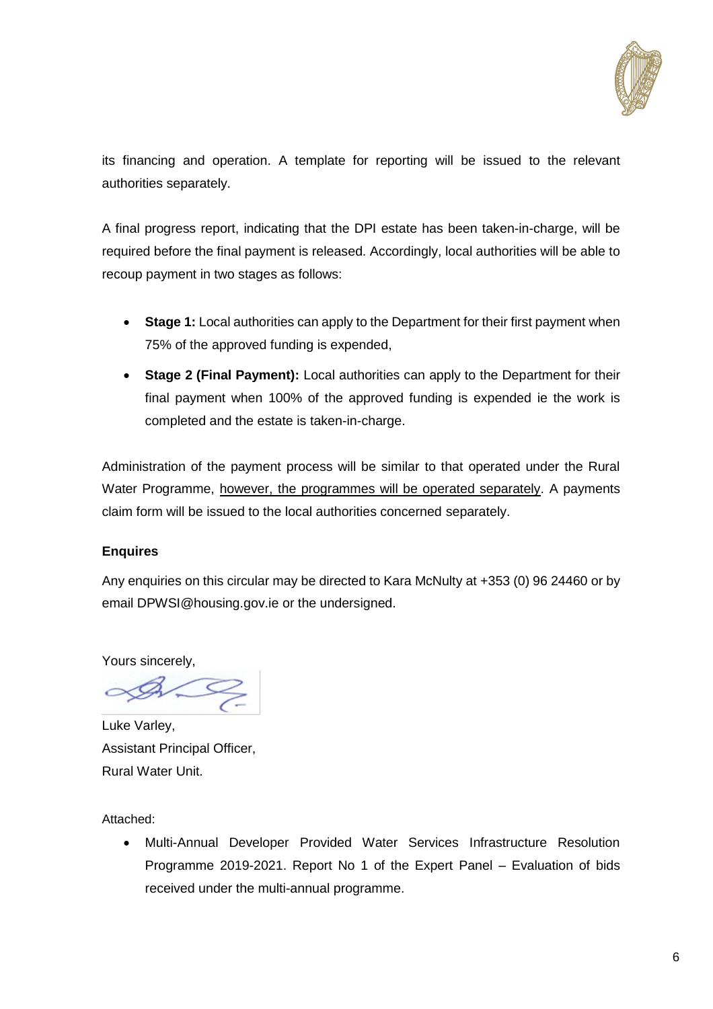

its financing and operation. A template for reporting will be issued to the relevant authorities separately.

A final progress report, indicating that the DPI estate has been taken-in-charge, will be required before the final payment is released. Accordingly, local authorities will be able to recoup payment in two stages as follows:

- **Stage 1:** Local authorities can apply to the Department for their first payment when 75% of the approved funding is expended,
- **Stage 2 (Final Payment):** Local authorities can apply to the Department for their final payment when 100% of the approved funding is expended ie the work is completed and the estate is taken-in-charge.

Administration of the payment process will be similar to that operated under the Rural Water Programme, however, the programmes will be operated separately. A payments claim form will be issued to the local authorities concerned separately.

### **Enquires**

Any enquiries on this circular may be directed to Kara McNulty at +353 (0) 96 24460 or by email [DPWSI@housing.gov.ie](mailto:kara.mcnulty@housing.gov.ie) or the undersigned.

Yours sincerely,

 $\infty$ 

Luke Varley, Assistant Principal Officer, Rural Water Unit.

Attached:

 Multi-Annual Developer Provided Water Services Infrastructure Resolution Programme 2019-2021. Report No 1 of the Expert Panel – Evaluation of bids received under the multi-annual programme.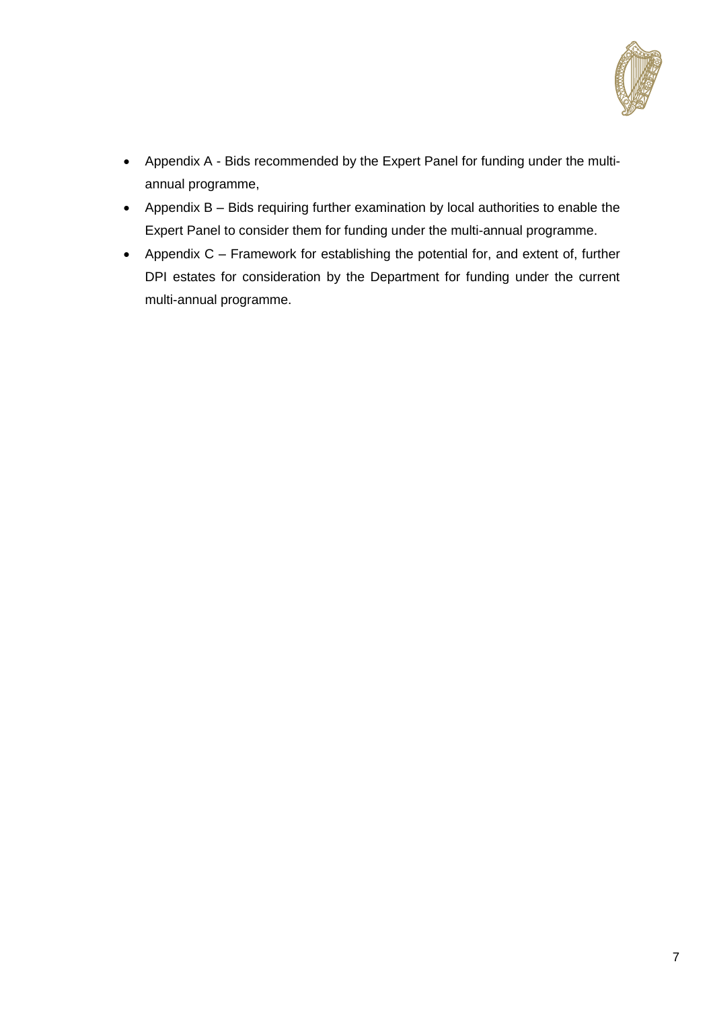

- Appendix A Bids recommended by the Expert Panel for funding under the multiannual programme,
- Appendix B Bids requiring further examination by local authorities to enable the Expert Panel to consider them for funding under the multi-annual programme.
- Appendix C Framework for establishing the potential for, and extent of, further DPI estates for consideration by the Department for funding under the current multi-annual programme.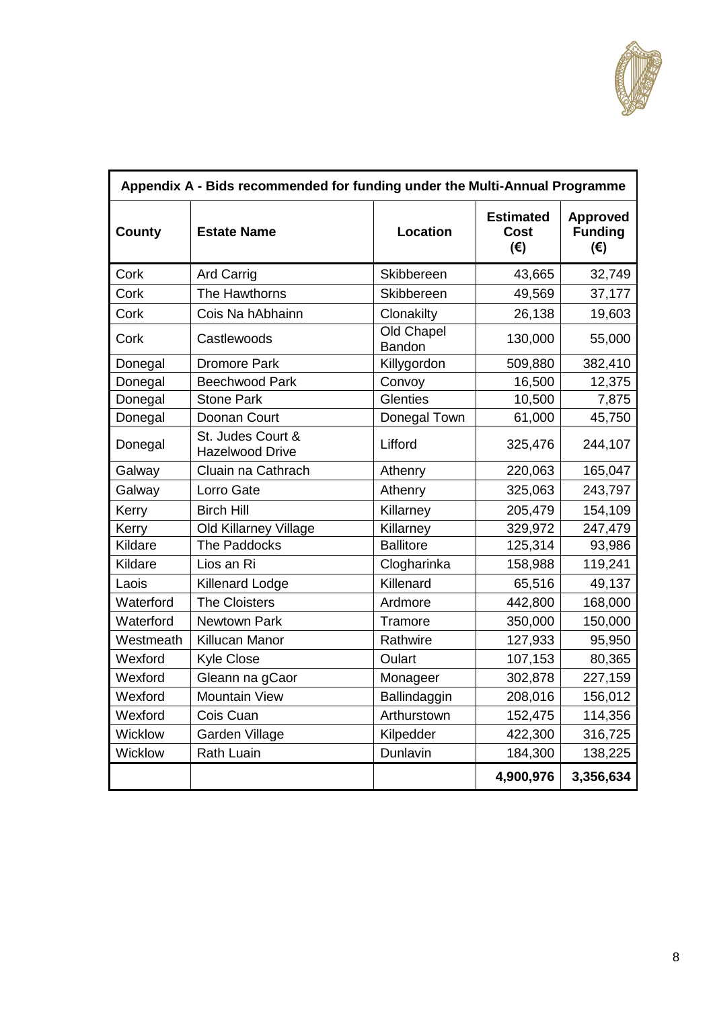

| Appendix A - Bids recommended for funding under the Multi-Annual Programme |                                             |                      |                                                 |                                                   |  |
|----------------------------------------------------------------------------|---------------------------------------------|----------------------|-------------------------------------------------|---------------------------------------------------|--|
| <b>County</b>                                                              | <b>Estate Name</b>                          | <b>Location</b>      | <b>Estimated</b><br><b>Cost</b><br>$(\epsilon)$ | <b>Approved</b><br><b>Funding</b><br>$(\epsilon)$ |  |
| Cork                                                                       | Skibbereen<br><b>Ard Carrig</b>             |                      | 43,665                                          | 32,749                                            |  |
| Cork                                                                       | The Hawthorns                               | Skibbereen           | 49,569                                          | 37,177                                            |  |
| Cork                                                                       | Cois Na hAbhainn                            | Clonakilty           | 26,138                                          | 19,603                                            |  |
| Cork                                                                       | Castlewoods                                 | Old Chapel<br>Bandon | 130,000                                         | 55,000                                            |  |
| Donegal                                                                    | <b>Dromore Park</b>                         | Killygordon          | 509,880                                         | 382,410                                           |  |
| Donegal                                                                    | <b>Beechwood Park</b>                       | Convoy               | 16,500                                          | 12,375                                            |  |
| Donegal                                                                    | <b>Stone Park</b>                           | <b>Glenties</b>      | 10,500                                          | 7,875                                             |  |
| Donegal                                                                    | Doonan Court                                | Donegal Town         | 61,000                                          | 45,750                                            |  |
| Donegal                                                                    | St. Judes Court &<br><b>Hazelwood Drive</b> | Lifford              | 325,476                                         | 244,107                                           |  |
| Galway                                                                     | Cluain na Cathrach                          | Athenry              | 220,063                                         | 165,047                                           |  |
| Galway                                                                     | Lorro Gate                                  | Athenry              | 325,063                                         | 243,797                                           |  |
| Kerry                                                                      | <b>Birch Hill</b>                           | Killarney            | 205,479                                         | 154,109                                           |  |
| Kerry                                                                      | <b>Old Killarney Village</b>                | Killarney            | 329,972                                         | 247,479                                           |  |
| Kildare                                                                    | The Paddocks                                | <b>Ballitore</b>     | 125,314                                         | 93,986                                            |  |
| Kildare                                                                    | Lios an Ri                                  | Clogharinka          | 158,988                                         | 119,241                                           |  |
| Laois                                                                      | <b>Killenard Lodge</b>                      | Killenard            | 65,516                                          | 49,137                                            |  |
| Waterford                                                                  | <b>The Cloisters</b>                        | Ardmore              | 442,800                                         | 168,000                                           |  |
| Waterford                                                                  | Newtown Park                                | Tramore              | 350,000                                         | 150,000                                           |  |
| Westmeath                                                                  | Killucan Manor                              | Rathwire             | 127,933                                         | 95,950                                            |  |
| Wexford                                                                    | <b>Kyle Close</b>                           | Oulart               | 107,153                                         | 80,365                                            |  |
| Wexford                                                                    | Gleann na gCaor                             | Monageer             | 302,878                                         | 227,159                                           |  |
| Wexford                                                                    | <b>Mountain View</b>                        | Ballindaggin         | 208,016                                         | 156,012                                           |  |
| Wexford                                                                    | Cois Cuan                                   | Arthurstown          | 152,475                                         | 114,356                                           |  |
| Wicklow                                                                    | Garden Village                              | Kilpedder            | 422,300                                         | 316,725                                           |  |
| Wicklow                                                                    | <b>Rath Luain</b>                           | Dunlavin             | 184,300                                         | 138,225                                           |  |
|                                                                            |                                             |                      | 4,900,976                                       | 3,356,634                                         |  |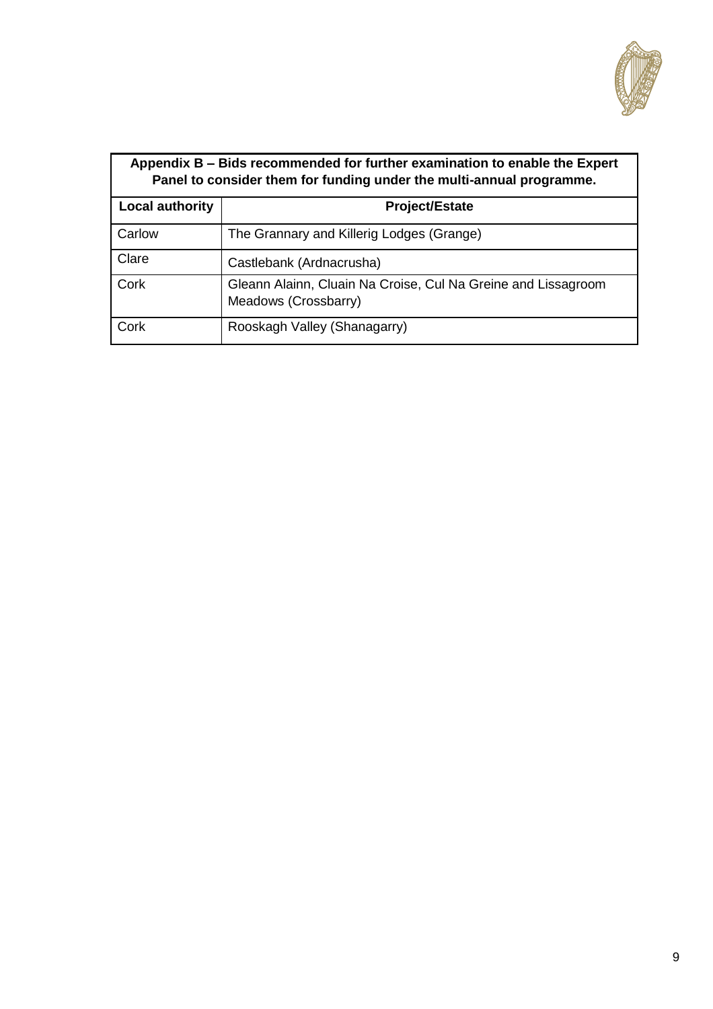

| Appendix B – Bids recommended for further examination to enable the Expert<br>Panel to consider them for funding under the multi-annual programme. |                                                                                       |  |  |  |
|----------------------------------------------------------------------------------------------------------------------------------------------------|---------------------------------------------------------------------------------------|--|--|--|
| <b>Local authority</b>                                                                                                                             | <b>Project/Estate</b>                                                                 |  |  |  |
| Carlow                                                                                                                                             | The Grannary and Killerig Lodges (Grange)                                             |  |  |  |
| Clare                                                                                                                                              | Castlebank (Ardnacrusha)                                                              |  |  |  |
| Cork                                                                                                                                               | Gleann Alainn, Cluain Na Croise, Cul Na Greine and Lissagroom<br>Meadows (Crossbarry) |  |  |  |
| Cork                                                                                                                                               | Rooskagh Valley (Shanagarry)                                                          |  |  |  |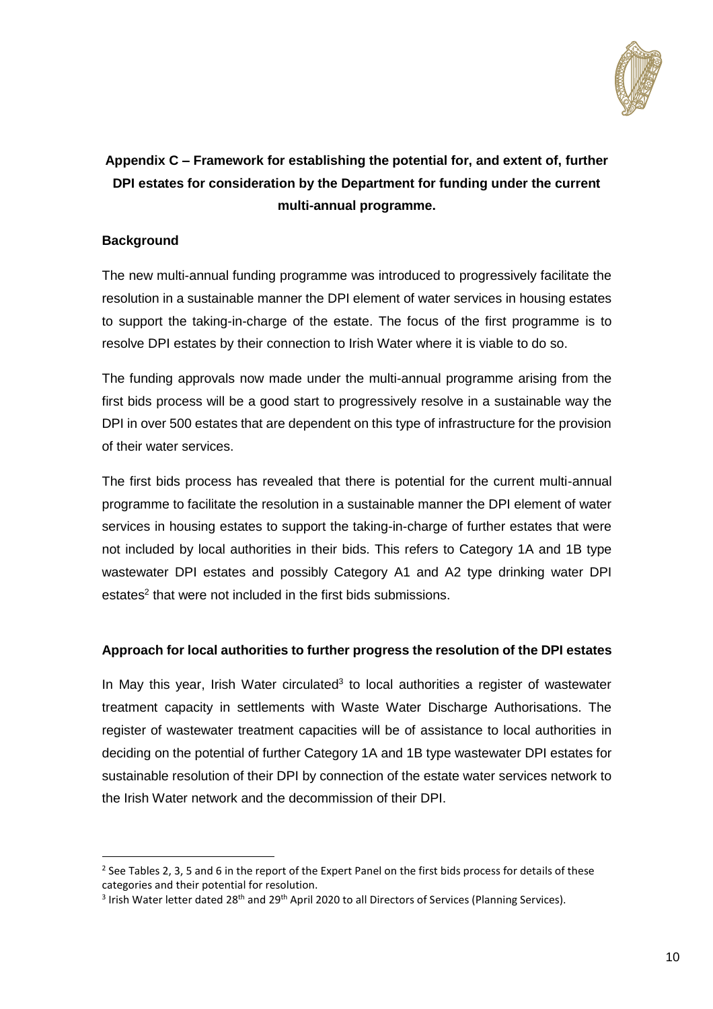

# **Appendix C – Framework for establishing the potential for, and extent of, further DPI estates for consideration by the Department for funding under the current multi-annual programme.**

## **Background**

1

The new multi-annual funding programme was introduced to progressively facilitate the resolution in a sustainable manner the DPI element of water services in housing estates to support the taking-in-charge of the estate. The focus of the first programme is to resolve DPI estates by their connection to Irish Water where it is viable to do so.

The funding approvals now made under the multi-annual programme arising from the first bids process will be a good start to progressively resolve in a sustainable way the DPI in over 500 estates that are dependent on this type of infrastructure for the provision of their water services.

The first bids process has revealed that there is potential for the current multi-annual programme to facilitate the resolution in a sustainable manner the DPI element of water services in housing estates to support the taking-in-charge of further estates that were not included by local authorities in their bids. This refers to Category 1A and 1B type wastewater DPI estates and possibly Category A1 and A2 type drinking water DPI estates<sup>2</sup> that were not included in the first bids submissions.

### **Approach for local authorities to further progress the resolution of the DPI estates**

In May this year, Irish Water circulated $3$  to local authorities a register of wastewater treatment capacity in settlements with Waste Water Discharge Authorisations. The register of wastewater treatment capacities will be of assistance to local authorities in deciding on the potential of further Category 1A and 1B type wastewater DPI estates for sustainable resolution of their DPI by connection of the estate water services network to the Irish Water network and the decommission of their DPI.

 $2$  See Tables 2, 3, 5 and 6 in the report of the Expert Panel on the first bids process for details of these categories and their potential for resolution.

<sup>&</sup>lt;sup>3</sup> Irish Water letter dated 28<sup>th</sup> and 29<sup>th</sup> April 2020 to all Directors of Services (Planning Services).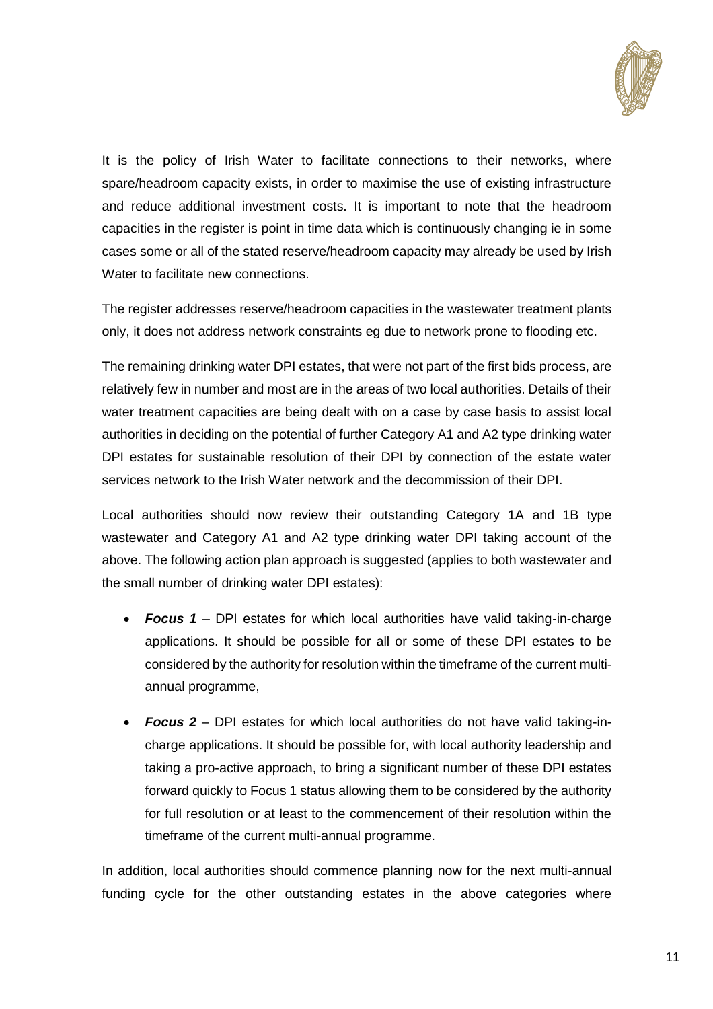

It is the policy of Irish Water to facilitate connections to their networks, where spare/headroom capacity exists, in order to maximise the use of existing infrastructure and reduce additional investment costs. It is important to note that the headroom capacities in the register is point in time data which is continuously changing ie in some cases some or all of the stated reserve/headroom capacity may already be used by Irish Water to facilitate new connections.

The register addresses reserve/headroom capacities in the wastewater treatment plants only, it does not address network constraints eg due to network prone to flooding etc.

The remaining drinking water DPI estates, that were not part of the first bids process, are relatively few in number and most are in the areas of two local authorities. Details of their water treatment capacities are being dealt with on a case by case basis to assist local authorities in deciding on the potential of further Category A1 and A2 type drinking water DPI estates for sustainable resolution of their DPI by connection of the estate water services network to the Irish Water network and the decommission of their DPI.

Local authorities should now review their outstanding Category 1A and 1B type wastewater and Category A1 and A2 type drinking water DPI taking account of the above. The following action plan approach is suggested (applies to both wastewater and the small number of drinking water DPI estates):

- *Focus 1* DPI estates for which local authorities have valid taking-in-charge applications. It should be possible for all or some of these DPI estates to be considered by the authority for resolution within the timeframe of the current multiannual programme,
- *Focus 2* DPI estates for which local authorities do not have valid taking-incharge applications. It should be possible for, with local authority leadership and taking a pro-active approach, to bring a significant number of these DPI estates forward quickly to Focus 1 status allowing them to be considered by the authority for full resolution or at least to the commencement of their resolution within the timeframe of the current multi-annual programme.

In addition, local authorities should commence planning now for the next multi-annual funding cycle for the other outstanding estates in the above categories where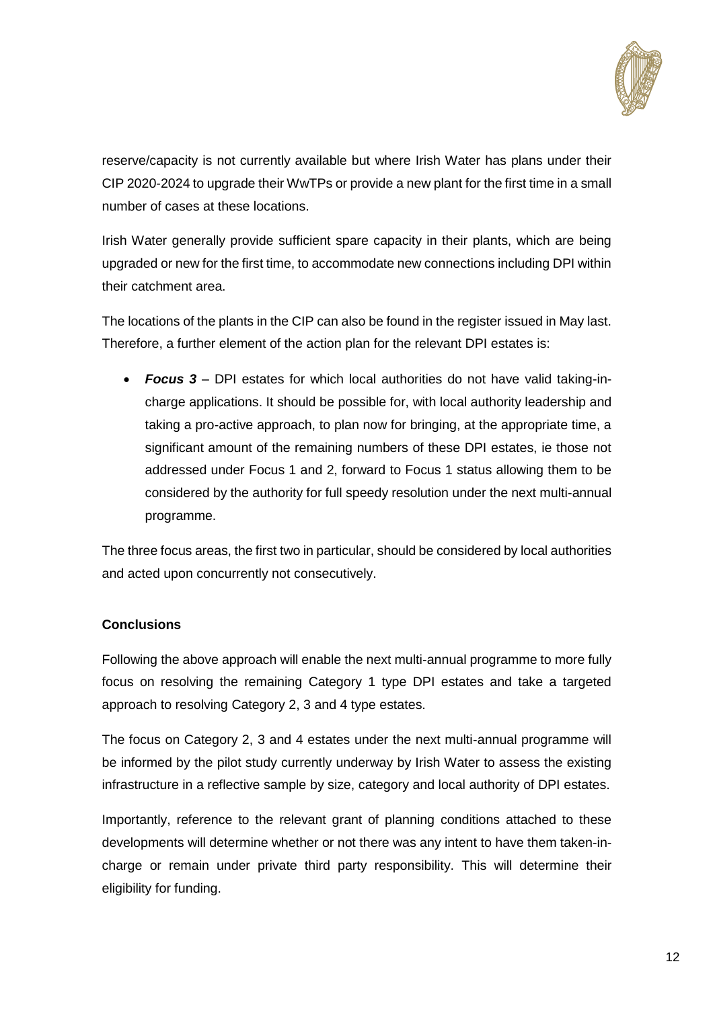

reserve/capacity is not currently available but where Irish Water has plans under their CIP 2020-2024 to upgrade their WwTPs or provide a new plant for the first time in a small number of cases at these locations.

Irish Water generally provide sufficient spare capacity in their plants, which are being upgraded or new for the first time, to accommodate new connections including DPI within their catchment area.

The locations of the plants in the CIP can also be found in the register issued in May last. Therefore, a further element of the action plan for the relevant DPI estates is:

 *Focus 3* – DPI estates for which local authorities do not have valid taking-incharge applications. It should be possible for, with local authority leadership and taking a pro-active approach, to plan now for bringing, at the appropriate time, a significant amount of the remaining numbers of these DPI estates, ie those not addressed under Focus 1 and 2, forward to Focus 1 status allowing them to be considered by the authority for full speedy resolution under the next multi-annual programme.

The three focus areas, the first two in particular, should be considered by local authorities and acted upon concurrently not consecutively.

## **Conclusions**

Following the above approach will enable the next multi-annual programme to more fully focus on resolving the remaining Category 1 type DPI estates and take a targeted approach to resolving Category 2, 3 and 4 type estates.

The focus on Category 2, 3 and 4 estates under the next multi-annual programme will be informed by the pilot study currently underway by Irish Water to assess the existing infrastructure in a reflective sample by size, category and local authority of DPI estates.

Importantly, reference to the relevant grant of planning conditions attached to these developments will determine whether or not there was any intent to have them taken-incharge or remain under private third party responsibility. This will determine their eligibility for funding.